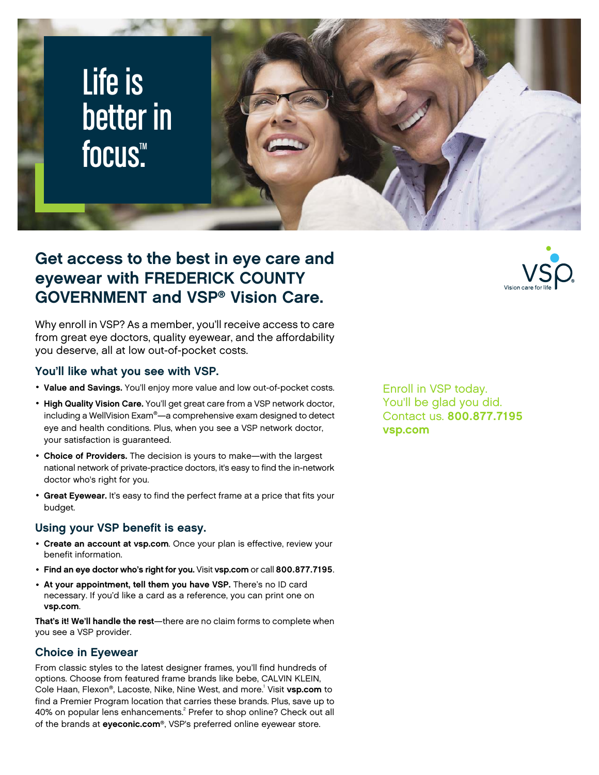

## **Get access to the best in eye care and eyewear with FREDERICK COUNTY GOVERNMENT and VSP® Vision Care.**

Why enroll in VSP? As a member, you'll receive access to care from great eye doctors, quality eyewear, and the affordability you deserve, all at low out-of-pocket costs.

#### **You'll like what you see with VSP.**

- **Value and Savings.** You'll enjoy more value and low out-of-pocket costs.
- **High Quality Vision Care.** You'll get great care from a VSP network doctor, including a WellVision Exam®—a comprehensive exam designed to detect eye and health conditions. Plus, when you see a VSP network doctor, your satisfaction is guaranteed.
- **Choice of Providers.** The decision is yours to make—with the largest national network of private-practice doctors, it's easy to find the in-network doctor who's right for you.
- **Great Eyewear.** It's easy to find the perfect frame at a price that fits your budget.

#### **Using your VSP benefit is easy.**

- **Create an account at [vsp.com](www.vsp.com)**. Once your plan is effective, review your benefit information.
- **Find an eye doctor who's right for you.** Visit **[vsp.com](www.vsp.com)** or call **800.877.7195**.
- **At your appointment, tell them you have VSP.** There's no ID card necessary. If you'd like a card as a reference, you can print one on **[vsp.com](www.vsp.com)**.

**That's it! We'll handle the rest**—there are no claim forms to complete when you see a VSP provider.

#### **Choice in Eyewear**

From classic styles to the latest designer frames, you'll find hundreds of options. Choose from featured frame brands like bebe, CALVIN KLEIN, Cole Haan, Flexon®, Lacoste, Nike, Nine West, and more.<sup>1</sup> Visit **[vsp.com](www.vsp.com)** to find a Premier Program location that carries these brands. Plus, save up to 40% on popular lens enhancements.<sup>2</sup> Prefer to shop online? Check out all of the brands at **[eyeconic.com](www.eyeconic.com)**®, VSP's preferred online eyewear store.

Enroll in VSP today. You'll be glad you did. Contact us. **800.877.7195 [vsp.com](http://www.vsp.com)**